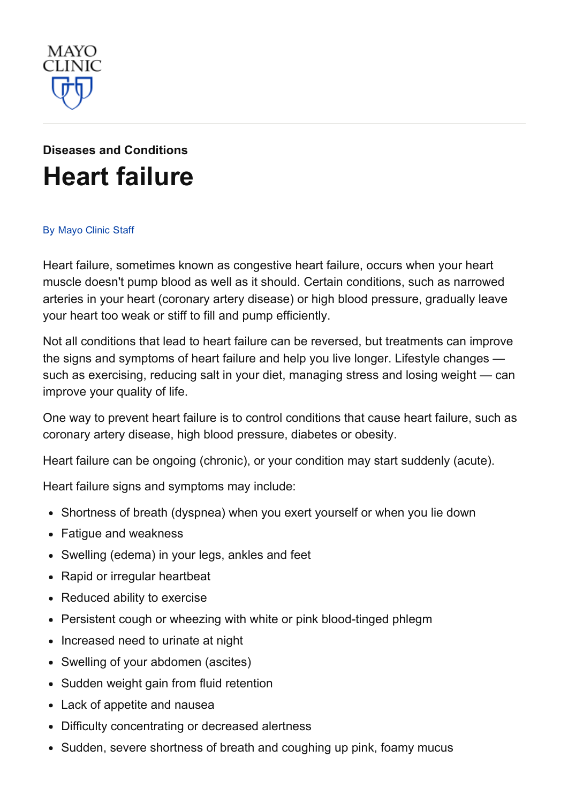

# Diseases and [Conditions](http://www.mayoclinic.org/diseases-conditions) Heart [failure](http://www.mayoclinic.org/diseases-conditions/heart-failure/basics/definition/con-20029801)

#### By [Mayo](http://www.mayoclinic.org/about-this-site/welcome) Clinic Staff

Heart failure, sometimes known as congestive heart failure, occurs when your heart muscle doesn't pump blood as well as it should. Certain conditions, such as narrowed arteries in your heart (coronary artery disease) or high blood pressure, gradually leave your heart too weak or stiff to fill and pump efficiently.

Not all conditions that lead to heart failure can be reversed, but treatments can improve the signs and symptoms of heart failure and help you live longer. Lifestyle changes such as exercising, reducing salt in your diet, managing stress and losing weight — can improve your quality of life.

One way to prevent heart failure is to control conditions that cause heart failure, such as coronary artery disease, high blood pressure, diabetes or obesity.

Heart failure can be ongoing (chronic), or your condition may start suddenly (acute).

Heart failure signs and symptoms may include:

- Shortness of breath (dyspnea) when you exert yourself or when you lie down
- Fatigue and weakness
- Swelling (edema) in your legs, ankles and feet
- Rapid or irregular heartbeat
- Reduced ability to exercise
- Persistent cough or wheezing with white or pink blood-tinged phlegm
- Increased need to urinate at night
- Swelling of your abdomen (ascites)
- Sudden weight gain from fluid retention
- Lack of appetite and nausea
- Difficulty concentrating or decreased alertness
- Sudden, severe shortness of breath and coughing up pink, foamy mucus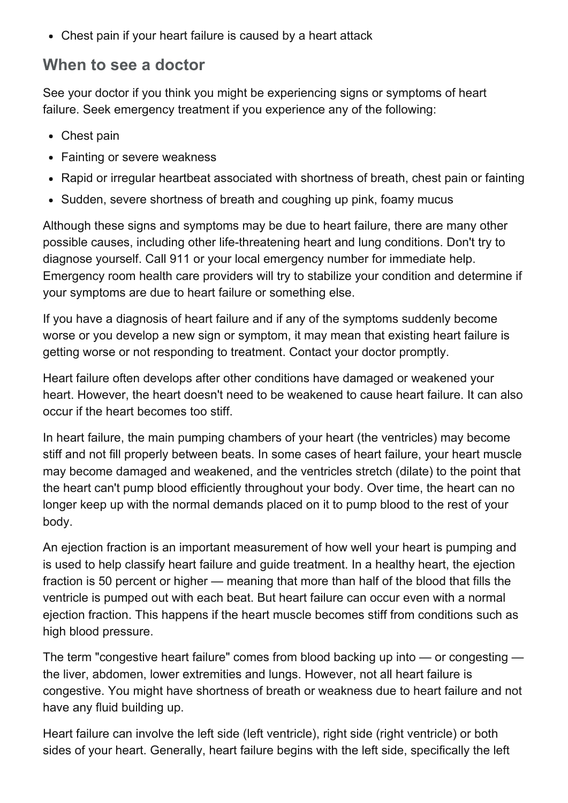Chest pain if your heart failure is caused by a heart attack

#### When to see a doctor

See your doctor if you think you might be experiencing signs or symptoms of heart failure. Seek emergency treatment if you experience any of the following:

- Chest pain
- Fainting or severe weakness
- Rapid or irregular heartbeat associated with shortness of breath, chest pain or fainting
- Sudden, severe shortness of breath and coughing up pink, foamy mucus

Although these signs and symptoms may be due to heart failure, there are many other possible causes, including other life-threatening heart and lung conditions. Don't try to diagnose yourself. Call 911 or your local emergency number for immediate help. Emergency room health care providers will try to stabilize your condition and determine if your symptoms are due to heart failure or something else.

If you have a diagnosis of heart failure and if any of the symptoms suddenly become worse or you develop a new sign or symptom, it may mean that existing heart failure is getting worse or not responding to treatment. Contact your doctor promptly.

Heart failure often develops after other conditions have damaged or weakened your heart. However, the heart doesn't need to be weakened to cause heart failure. It can also occur if the heart becomes too stiff.

In heart failure, the main pumping chambers of your heart (the ventricles) may become stiff and not fill properly between beats. In some cases of heart failure, your heart muscle may become damaged and weakened, and the ventricles stretch (dilate) to the point that the heart can't pump blood efficiently throughout your body. Over time, the heart can no longer keep up with the normal demands placed on it to pump blood to the rest of your body.

An ejection fraction is an important measurement of how well your heart is pumping and is used to help classify heart failure and guide treatment. In a healthy heart, the ejection fraction is 50 percent or higher — meaning that more than half of the blood that fills the ventricle is pumped out with each beat. But heart failure can occur even with a normal ejection fraction. This happens if the heart muscle becomes stiff from conditions such as high blood pressure.

The term "congestive heart failure" comes from blood backing up into — or congesting the liver, abdomen, lower extremities and lungs. However, not all heart failure is congestive. You might have shortness of breath or weakness due to heart failure and not have any fluid building up.

Heart failure can involve the left side (left ventricle), right side (right ventricle) or both sides of your heart. Generally, heart failure begins with the left side, specifically the left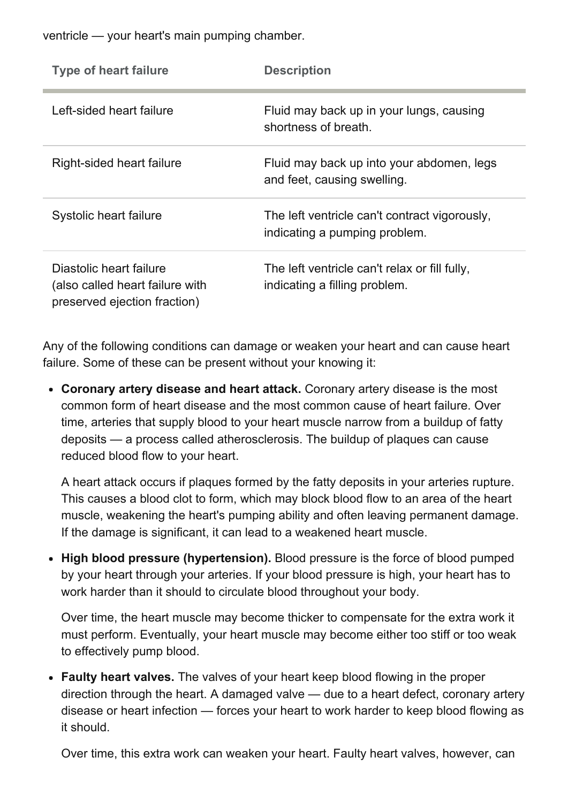ventricle — your heart's main pumping chamber.

| <b>Type of heart failure</b>                                                               | <b>Description</b>                                                             |
|--------------------------------------------------------------------------------------------|--------------------------------------------------------------------------------|
| Left-sided heart failure                                                                   | Fluid may back up in your lungs, causing<br>shortness of breath.               |
| Right-sided heart failure                                                                  | Fluid may back up into your abdomen, legs<br>and feet, causing swelling.       |
| Systolic heart failure                                                                     | The left ventricle can't contract vigorously,<br>indicating a pumping problem. |
| Diastolic heart failure<br>(also called heart failure with<br>preserved ejection fraction) | The left ventricle can't relax or fill fully,<br>indicating a filling problem. |

Any of the following conditions can damage or weaken your heart and can cause heart failure. Some of these can be present without your knowing it:

Coronary artery disease and heart attack. Coronary artery disease is the most common form of heart disease and the most common cause of heart failure. Over time, arteries that supply blood to your heart muscle narrow from a buildup of fatty deposits — a process called atherosclerosis. The buildup of plaques can cause reduced blood flow to your heart.

A heart attack occurs if plaques formed by the fatty deposits in your arteries rupture. This causes a blood clot to form, which may block blood flow to an area of the heart muscle, weakening the heart's pumping ability and often leaving permanent damage. If the damage is significant, it can lead to a weakened heart muscle.

• High blood pressure (hypertension). Blood pressure is the force of blood pumped by your heart through your arteries. If your blood pressure is high, your heart has to work harder than it should to circulate blood throughout your body.

Over time, the heart muscle may become thicker to compensate for the extra work it must perform. Eventually, your heart muscle may become either too stiff or too weak to effectively pump blood.

• Faulty heart valves. The valves of your heart keep blood flowing in the proper direction through the heart. A damaged valve — due to a heart defect, coronary artery disease or heart infection — forces your heart to work harder to keep blood flowing as it should.

Over time, this extra work can weaken your heart. Faulty heart valves, however, can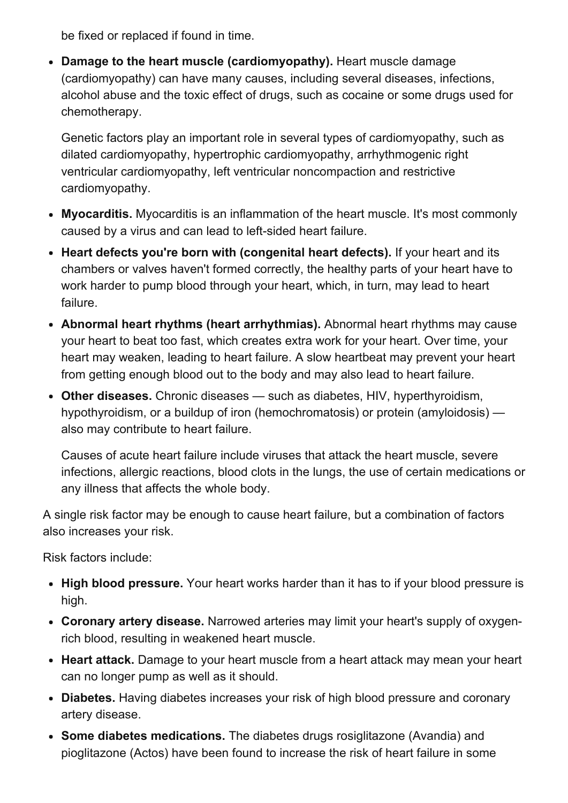be fixed or replaced if found in time.

• Damage to the heart muscle (cardiomyopathy). Heart muscle damage (cardiomyopathy) can have many causes, including several diseases, infections, alcohol abuse and the toxic effect of drugs, such as cocaine or some drugs used for chemotherapy.

Genetic factors play an important role in several types of cardiomyopathy, such as dilated cardiomyopathy, hypertrophic cardiomyopathy, arrhythmogenic right ventricular cardiomyopathy, left ventricular noncompaction and restrictive cardiomyopathy.

- Myocarditis. Myocarditis is an inflammation of the heart muscle. It's most commonly caused by a virus and can lead to left-sided heart failure.
- Heart defects you're born with (congenital heart defects). If your heart and its chambers or valves haven't formed correctly, the healthy parts of your heart have to work harder to pump blood through your heart, which, in turn, may lead to heart failure.
- Abnormal heart rhythms (heart arrhythmias). Abnormal heart rhythms may cause your heart to beat too fast, which creates extra work for your heart. Over time, your heart may weaken, leading to heart failure. A slow heartbeat may prevent your heart from getting enough blood out to the body and may also lead to heart failure.
- Other diseases. Chronic diseases such as diabetes, HIV, hyperthyroidism, hypothyroidism, or a buildup of iron (hemochromatosis) or protein (amyloidosis) also may contribute to heart failure.

Causes of acute heart failure include viruses that attack the heart muscle, severe infections, allergic reactions, blood clots in the lungs, the use of certain medications or any illness that affects the whole body.

A single risk factor may be enough to cause heart failure, but a combination of factors also increases your risk.

Risk factors include:

- High blood pressure. Your heart works harder than it has to if your blood pressure is high.
- Coronary artery disease. Narrowed arteries may limit your heart's supply of oxygenrich blood, resulting in weakened heart muscle.
- Heart attack. Damage to your heart muscle from a heart attack may mean your heart can no longer pump as well as it should.
- Diabetes. Having diabetes increases your risk of high blood pressure and coronary artery disease.
- Some diabetes medications. The diabetes drugs rosiglitazone (Avandia) and pioglitazone (Actos) have been found to increase the risk of heart failure in some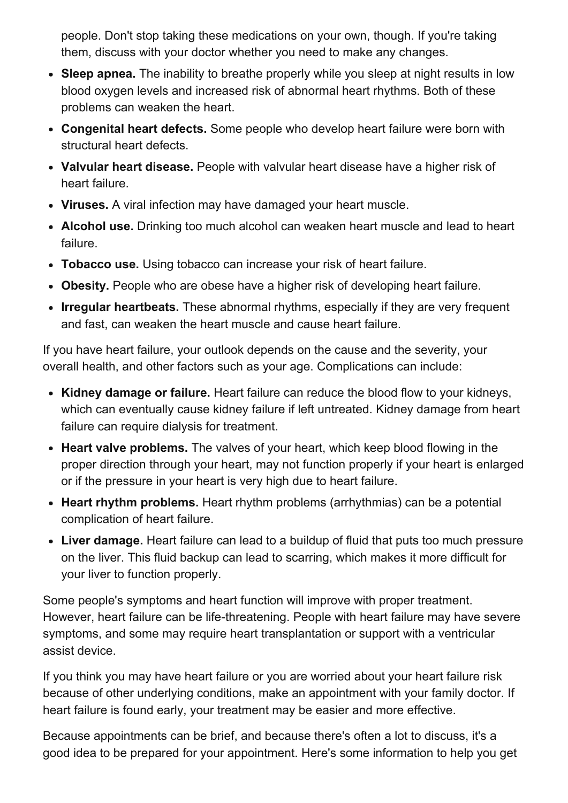people. Don't stop taking these medications on your own, though. If you're taking them, discuss with your doctor whether you need to make any changes.

- Sleep apnea. The inability to breathe properly while you sleep at night results in low blood oxygen levels and increased risk of abnormal heart rhythms. Both of these problems can weaken the heart.
- Congenital heart defects. Some people who develop heart failure were born with structural heart defects.
- Valvular heart disease. People with valvular heart disease have a higher risk of heart failure.
- Viruses. A viral infection may have damaged your heart muscle.
- Alcohol use. Drinking too much alcohol can weaken heart muscle and lead to heart failure.
- Tobacco use. Using tobacco can increase your risk of heart failure.
- Obesity. People who are obese have a higher risk of developing heart failure.
- Irregular heartbeats. These abnormal rhythms, especially if they are very frequent and fast, can weaken the heart muscle and cause heart failure.

If you have heart failure, your outlook depends on the cause and the severity, your overall health, and other factors such as your age. Complications can include:

- Kidney damage or failure. Heart failure can reduce the blood flow to your kidneys, which can eventually cause kidney failure if left untreated. Kidney damage from heart failure can require dialysis for treatment.
- Heart valve problems. The valves of your heart, which keep blood flowing in the proper direction through your heart, may not function properly if your heart is enlarged or if the pressure in your heart is very high due to heart failure.
- Heart rhythm problems. Heart rhythm problems (arrhythmias) can be a potential complication of heart failure.
- Liver damage. Heart failure can lead to a buildup of fluid that puts too much pressure on the liver. This fluid backup can lead to scarring, which makes it more difficult for your liver to function properly.

Some people's symptoms and heart function will improve with proper treatment. However, heart failure can be life-threatening. People with heart failure may have severe symptoms, and some may require heart transplantation or support with a ventricular assist device.

If you think you may have heart failure or you are worried about your heart failure risk because of other underlying conditions, make an appointment with your family doctor. If heart failure is found early, your treatment may be easier and more effective.

Because appointments can be brief, and because there's often a lot to discuss, it's a good idea to be prepared for your appointment. Here's some information to help you get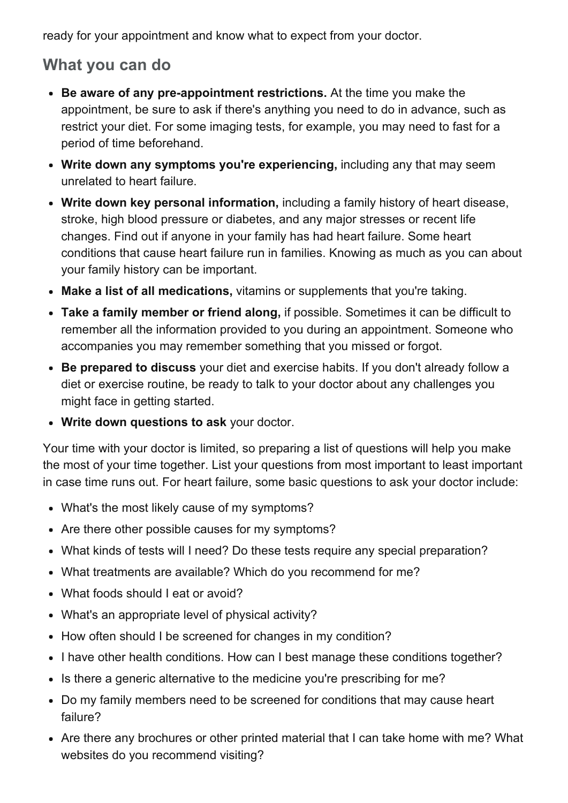ready for your appointment and know what to expect from your doctor.

# What you can do

- Be aware of any pre-appointment restrictions. At the time you make the appointment, be sure to ask if there's anything you need to do in advance, such as restrict your diet. For some imaging tests, for example, you may need to fast for a period of time beforehand.
- Write down any symptoms you're experiencing, including any that may seem unrelated to heart failure.
- Write down key personal information, including a family history of heart disease, stroke, high blood pressure or diabetes, and any major stresses or recent life changes. Find out if anyone in your family has had heart failure. Some heart conditions that cause heart failure run in families. Knowing as much as you can about your family history can be important.
- Make a list of all medications, vitamins or supplements that you're taking.
- Take a family member or friend along, if possible. Sometimes it can be difficult to remember all the information provided to you during an appointment. Someone who accompanies you may remember something that you missed or forgot.
- Be prepared to discuss your diet and exercise habits. If you don't already follow a diet or exercise routine, be ready to talk to your doctor about any challenges you might face in getting started.
- Write down questions to ask your doctor.

Your time with your doctor is limited, so preparing a list of questions will help you make the most of your time together. List your questions from most important to least important in case time runs out. For heart failure, some basic questions to ask your doctor include:

- What's the most likely cause of my symptoms?
- Are there other possible causes for my symptoms?
- What kinds of tests will I need? Do these tests require any special preparation?
- What treatments are available? Which do you recommend for me?
- What foods should I eat or avoid?
- What's an appropriate level of physical activity?
- How often should I be screened for changes in my condition?
- I have other health conditions. How can I best manage these conditions together?
- Is there a generic alternative to the medicine you're prescribing for me?
- Do my family members need to be screened for conditions that may cause heart failure?
- Are there any brochures or other printed material that I can take home with me? What websites do you recommend visiting?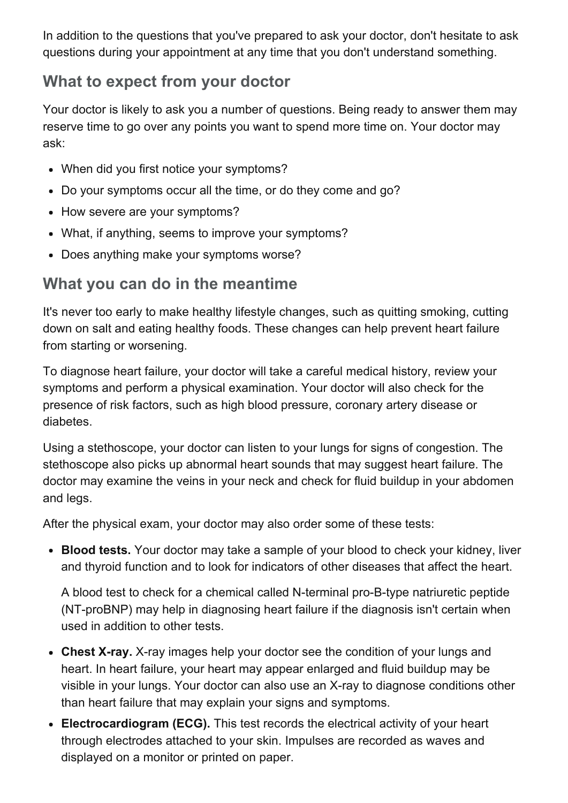In addition to the questions that you've prepared to ask your doctor, don't hesitate to ask questions during your appointment at any time that you don't understand something.

# What to expect from your doctor

Your doctor is likely to ask you a number of questions. Being ready to answer them may reserve time to go over any points you want to spend more time on. Your doctor may ask:

- When did you first notice your symptoms?
- Do your symptoms occur all the time, or do they come and go?
- How severe are your symptoms?
- What, if anything, seems to improve your symptoms?
- Does anything make your symptoms worse?

# What you can do in the meantime

It's never too early to make healthy lifestyle changes, such as quitting smoking, cutting down on salt and eating healthy foods. These changes can help prevent heart failure from starting or worsening.

To diagnose heart failure, your doctor will take a careful medical history, review your symptoms and perform a physical examination. Your doctor will also check for the presence of risk factors, such as high blood pressure, coronary artery disease or diabetes.

Using a stethoscope, your doctor can listen to your lungs for signs of congestion. The stethoscope also picks up abnormal heart sounds that may suggest heart failure. The doctor may examine the veins in your neck and check for fluid buildup in your abdomen and legs.

After the physical exam, your doctor may also order some of these tests:

• Blood tests. Your doctor may take a sample of your blood to check your kidney, liver and thyroid function and to look for indicators of other diseases that affect the heart.

A blood test to check for a chemical called N-terminal pro-B-type natriuretic peptide (NT-proBNP) may help in diagnosing heart failure if the diagnosis isn't certain when used in addition to other tests.

- Chest X-ray. X-ray images help your doctor see the condition of your lungs and heart. In heart failure, your heart may appear enlarged and fluid buildup may be visible in your lungs. Your doctor can also use an X-ray to diagnose conditions other than heart failure that may explain your signs and symptoms.
- Electrocardiogram (ECG). This test records the electrical activity of your heart through electrodes attached to your skin. Impulses are recorded as waves and displayed on a monitor or printed on paper.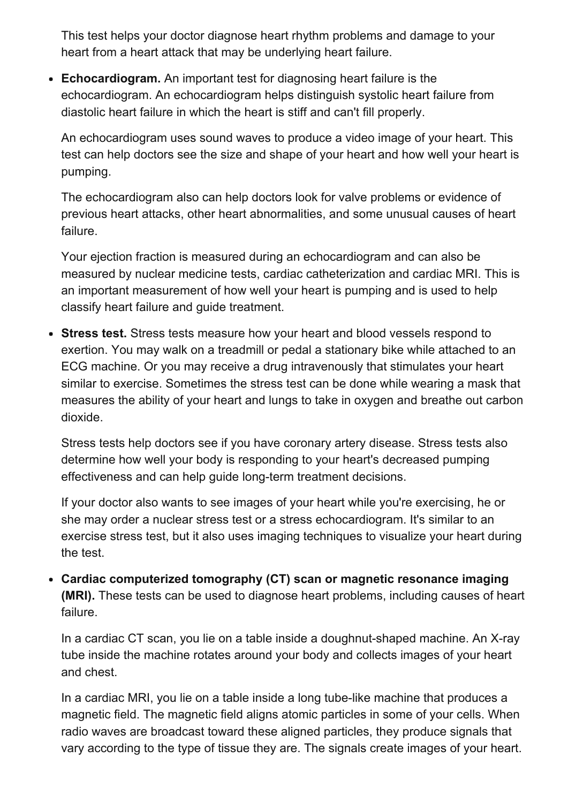This test helps your doctor diagnose heart rhythm problems and damage to your heart from a heart attack that may be underlying heart failure.

• Echocardiogram. An important test for diagnosing heart failure is the echocardiogram. An echocardiogram helps distinguish systolic heart failure from diastolic heart failure in which the heart is stiff and can't fill properly.

An echocardiogram uses sound waves to produce a video image of your heart. This test can help doctors see the size and shape of your heart and how well your heart is pumping.

The echocardiogram also can help doctors look for valve problems or evidence of previous heart attacks, other heart abnormalities, and some unusual causes of heart failure.

Your ejection fraction is measured during an echocardiogram and can also be measured by nuclear medicine tests, cardiac catheterization and cardiac MRI. This is an important measurement of how well your heart is pumping and is used to help classify heart failure and guide treatment.

• Stress test. Stress tests measure how your heart and blood vessels respond to exertion. You may walk on a treadmill or pedal a stationary bike while attached to an ECG machine. Or you may receive a drug intravenously that stimulates your heart similar to exercise. Sometimes the stress test can be done while wearing a mask that measures the ability of your heart and lungs to take in oxygen and breathe out carbon dioxide.

Stress tests help doctors see if you have coronary artery disease. Stress tests also determine how well your body is responding to your heart's decreased pumping effectiveness and can help guide long-term treatment decisions.

If your doctor also wants to see images of your heart while you're exercising, he or she may order a nuclear stress test or a stress echocardiogram. It's similar to an exercise stress test, but it also uses imaging techniques to visualize your heart during the test.

Cardiac computerized tomography (CT) scan or magnetic resonance imaging (MRI). These tests can be used to diagnose heart problems, including causes of heart failure.

In a cardiac CT scan, you lie on a table inside a doughnut-shaped machine. An X-ray tube inside the machine rotates around your body and collects images of your heart and chest.

In a cardiac MRI, you lie on a table inside a long tube-like machine that produces a magnetic field. The magnetic field aligns atomic particles in some of your cells. When radio waves are broadcast toward these aligned particles, they produce signals that vary according to the type of tissue they are. The signals create images of your heart.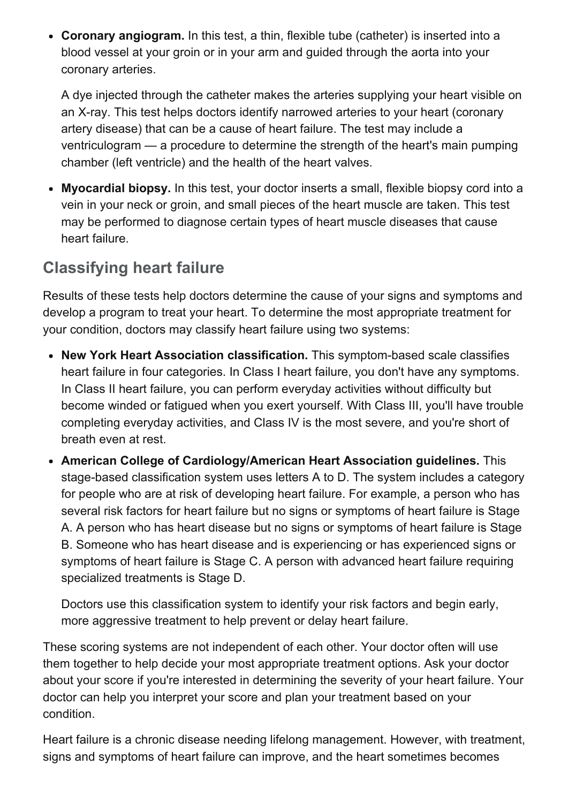Coronary angiogram. In this test, a thin, flexible tube (catheter) is inserted into a blood vessel at your groin or in your arm and guided through the aorta into your coronary arteries.

A dye injected through the catheter makes the arteries supplying your heart visible on an X-ray. This test helps doctors identify narrowed arteries to your heart (coronary artery disease) that can be a cause of heart failure. The test may include a ventriculogram — a procedure to determine the strength of the heart's main pumping chamber (left ventricle) and the health of the heart valves.

Myocardial biopsy. In this test, your doctor inserts a small, flexible biopsy cord into a vein in your neck or groin, and small pieces of the heart muscle are taken. This test may be performed to diagnose certain types of heart muscle diseases that cause heart failure.

# Classifying heart failure

Results of these tests help doctors determine the cause of your signs and symptoms and develop a program to treat your heart. To determine the most appropriate treatment for your condition, doctors may classify heart failure using two systems:

- New York Heart Association classification. This symptom-based scale classifies heart failure in four categories. In Class I heart failure, you don't have any symptoms. In Class II heart failure, you can perform everyday activities without difficulty but become winded or fatigued when you exert yourself. With Class III, you'll have trouble completing everyday activities, and Class IV is the most severe, and you're short of breath even at rest.
- American College of Cardiology/American Heart Association guidelines. This stage-based classification system uses letters A to D. The system includes a category for people who are at risk of developing heart failure. For example, a person who has several risk factors for heart failure but no signs or symptoms of heart failure is Stage A. A person who has heart disease but no signs or symptoms of heart failure is Stage B. Someone who has heart disease and is experiencing or has experienced signs or symptoms of heart failure is Stage C. A person with advanced heart failure requiring specialized treatments is Stage D.

Doctors use this classification system to identify your risk factors and begin early, more aggressive treatment to help prevent or delay heart failure.

These scoring systems are not independent of each other. Your doctor often will use them together to help decide your most appropriate treatment options. Ask your doctor about your score if you're interested in determining the severity of your heart failure. Your doctor can help you interpret your score and plan your treatment based on your condition.

Heart failure is a chronic disease needing lifelong management. However, with treatment, signs and symptoms of heart failure can improve, and the heart sometimes becomes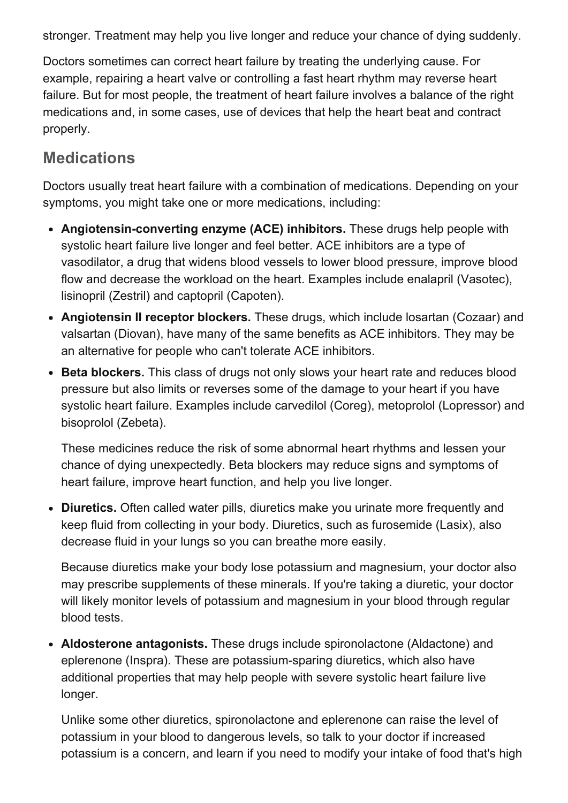stronger. Treatment may help you live longer and reduce your chance of dying suddenly.

Doctors sometimes can correct heart failure by treating the underlying cause. For example, repairing a heart valve or controlling a fast heart rhythm may reverse heart failure. But for most people, the treatment of heart failure involves a balance of the right medications and, in some cases, use of devices that help the heart beat and contract properly.

# **Medications**

Doctors usually treat heart failure with a combination of medications. Depending on your symptoms, you might take one or more medications, including:

- Angiotensin-converting enzyme (ACE) inhibitors. These drugs help people with systolic heart failure live longer and feel better. ACE inhibitors are a type of vasodilator, a drug that widens blood vessels to lower blood pressure, improve blood flow and decrease the workload on the heart. Examples include enalapril (Vasotec), lisinopril (Zestril) and captopril (Capoten).
- Angiotensin II receptor blockers. These drugs, which include losartan (Cozaar) and valsartan (Diovan), have many of the same benefits as ACE inhibitors. They may be an alternative for people who can't tolerate ACE inhibitors.
- Beta blockers. This class of drugs not only slows your heart rate and reduces blood pressure but also limits or reverses some of the damage to your heart if you have systolic heart failure. Examples include carvedilol (Coreg), metoprolol (Lopressor) and bisoprolol (Zebeta).

These medicines reduce the risk of some abnormal heart rhythms and lessen your chance of dying unexpectedly. Beta blockers may reduce signs and symptoms of heart failure, improve heart function, and help you live longer.

• Diuretics. Often called water pills, diuretics make you urinate more frequently and keep fluid from collecting in your body. Diuretics, such as furosemide (Lasix), also decrease fluid in your lungs so you can breathe more easily.

Because diuretics make your body lose potassium and magnesium, your doctor also may prescribe supplements of these minerals. If you're taking a diuretic, your doctor will likely monitor levels of potassium and magnesium in your blood through regular blood tests.

• Aldosterone antagonists. These drugs include spironolactone (Aldactone) and eplerenone (Inspra). These are potassium-sparing diuretics, which also have additional properties that may help people with severe systolic heart failure live longer.

Unlike some other diuretics, spironolactone and eplerenone can raise the level of potassium in your blood to dangerous levels, so talk to your doctor if increased potassium is a concern, and learn if you need to modify your intake of food that's high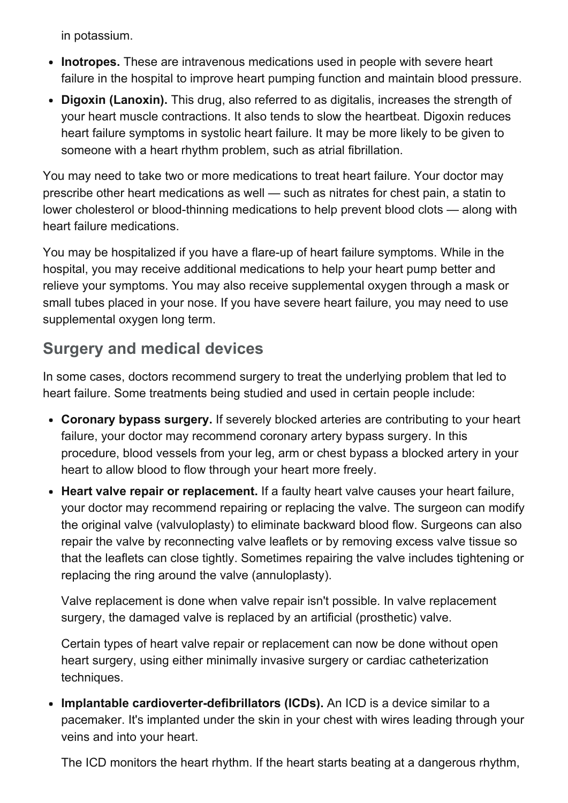in potassium.

- Inotropes. These are intravenous medications used in people with severe heart failure in the hospital to improve heart pumping function and maintain blood pressure.
- Digoxin (Lanoxin). This drug, also referred to as digitalis, increases the strength of your heart muscle contractions. It also tends to slow the heartbeat. Digoxin reduces heart failure symptoms in systolic heart failure. It may be more likely to be given to someone with a heart rhythm problem, such as atrial fibrillation.

You may need to take two or more medications to treat heart failure. Your doctor may prescribe other heart medications as well — such as nitrates for chest pain, a statin to lower cholesterol or blood-thinning medications to help prevent blood clots — along with heart failure medications.

You may be hospitalized if you have a flare-up of heart failure symptoms. While in the hospital, you may receive additional medications to help your heart pump better and relieve your symptoms. You may also receive supplemental oxygen through a mask or small tubes placed in your nose. If you have severe heart failure, you may need to use supplemental oxygen long term.

# Surgery and medical devices

In some cases, doctors recommend surgery to treat the underlying problem that led to heart failure. Some treatments being studied and used in certain people include:

- Coronary bypass surgery. If severely blocked arteries are contributing to your heart failure, your doctor may recommend coronary artery bypass surgery. In this procedure, blood vessels from your leg, arm or chest bypass a blocked artery in your heart to allow blood to flow through your heart more freely.
- Heart valve repair or replacement. If a faulty heart valve causes your heart failure, your doctor may recommend repairing or replacing the valve. The surgeon can modify the original valve (valvuloplasty) to eliminate backward blood flow. Surgeons can also repair the valve by reconnecting valve leaflets or by removing excess valve tissue so that the leaflets can close tightly. Sometimes repairing the valve includes tightening or replacing the ring around the valve (annuloplasty).

Valve replacement is done when valve repair isn't possible. In valve replacement surgery, the damaged valve is replaced by an artificial (prosthetic) valve.

Certain types of heart valve repair or replacement can now be done without open heart surgery, using either minimally invasive surgery or cardiac catheterization techniques.

• Implantable cardioverter-defibrillators (ICDs). An ICD is a device similar to a pacemaker. It's implanted under the skin in your chest with wires leading through your veins and into your heart.

The ICD monitors the heart rhythm. If the heart starts beating at a dangerous rhythm,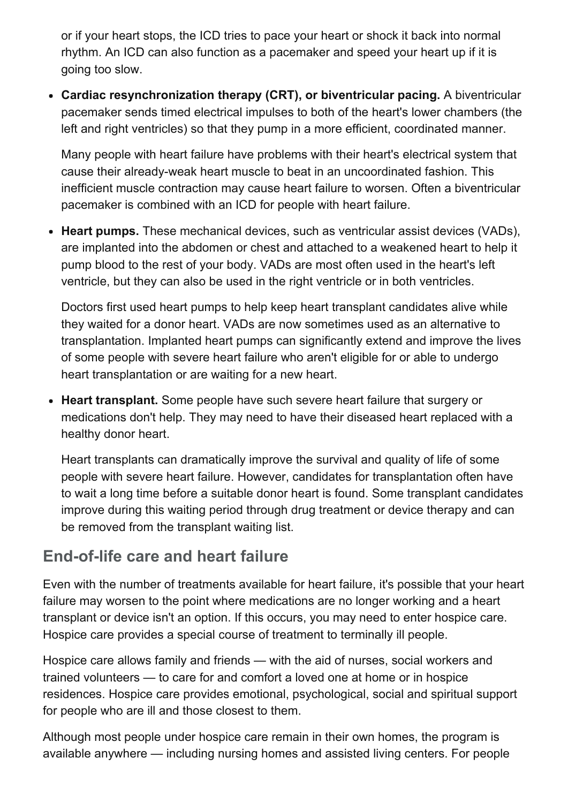or if your heart stops, the ICD tries to pace your heart or shock it back into normal rhythm. An ICD can also function as a pacemaker and speed your heart up if it is going too slow.

Cardiac resynchronization therapy (CRT), or biventricular pacing. A biventricular pacemaker sends timed electrical impulses to both of the heart's lower chambers (the left and right ventricles) so that they pump in a more efficient, coordinated manner.

Many people with heart failure have problems with their heart's electrical system that cause their already-weak heart muscle to beat in an uncoordinated fashion. This inefficient muscle contraction may cause heart failure to worsen. Often a biventricular pacemaker is combined with an ICD for people with heart failure.

• Heart pumps. These mechanical devices, such as ventricular assist devices (VADs), are implanted into the abdomen or chest and attached to a weakened heart to help it pump blood to the rest of your body. VADs are most often used in the heart's left ventricle, but they can also be used in the right ventricle or in both ventricles.

Doctors first used heart pumps to help keep heart transplant candidates alive while they waited for a donor heart. VADs are now sometimes used as an alternative to transplantation. Implanted heart pumps can significantly extend and improve the lives of some people with severe heart failure who aren't eligible for or able to undergo heart transplantation or are waiting for a new heart.

• Heart transplant. Some people have such severe heart failure that surgery or medications don't help. They may need to have their diseased heart replaced with a healthy donor heart.

Heart transplants can dramatically improve the survival and quality of life of some people with severe heart failure. However, candidates for transplantation often have to wait a long time before a suitable donor heart is found. Some transplant candidates improve during this waiting period through drug treatment or device therapy and can be removed from the transplant waiting list.

# End-of-life care and heart failure

Even with the number of treatments available for heart failure, it's possible that your heart failure may worsen to the point where medications are no longer working and a heart transplant or device isn't an option. If this occurs, you may need to enter hospice care. Hospice care provides a special course of treatment to terminally ill people.

Hospice care allows family and friends — with the aid of nurses, social workers and trained volunteers — to care for and comfort a loved one at home or in hospice residences. Hospice care provides emotional, psychological, social and spiritual support for people who are ill and those closest to them.

Although most people under hospice care remain in their own homes, the program is available anywhere — including nursing homes and assisted living centers. For people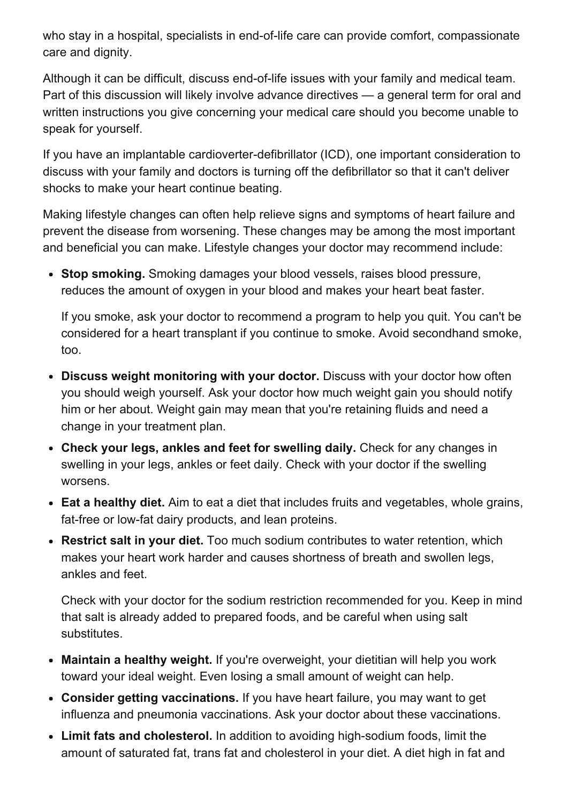who stay in a hospital, specialists in end-of-life care can provide comfort, compassionate care and dignity.

Although it can be difficult, discuss end-of-life issues with your family and medical team. Part of this discussion will likely involve advance directives — a general term for oral and written instructions you give concerning your medical care should you become unable to speak for yourself.

If you have an implantable cardioverter-defibrillator (ICD), one important consideration to discuss with your family and doctors is turning off the defibrillator so that it can't deliver shocks to make your heart continue beating.

Making lifestyle changes can often help relieve signs and symptoms of heart failure and prevent the disease from worsening. These changes may be among the most important and beneficial you can make. Lifestyle changes your doctor may recommend include:

• Stop smoking. Smoking damages your blood vessels, raises blood pressure, reduces the amount of oxygen in your blood and makes your heart beat faster.

If you smoke, ask your doctor to recommend a program to help you quit. You can't be considered for a heart transplant if you continue to smoke. Avoid secondhand smoke, too.

- Discuss weight monitoring with your doctor. Discuss with your doctor how often you should weigh yourself. Ask your doctor how much weight gain you should notify him or her about. Weight gain may mean that you're retaining fluids and need a change in your treatment plan.
- Check your legs, ankles and feet for swelling daily. Check for any changes in swelling in your legs, ankles or feet daily. Check with your doctor if the swelling worsens.
- Eat a healthy diet. Aim to eat a diet that includes fruits and vegetables, whole grains, fat-free or low-fat dairy products, and lean proteins.
- Restrict salt in your diet. Too much sodium contributes to water retention, which makes your heart work harder and causes shortness of breath and swollen legs, ankles and feet.

Check with your doctor for the sodium restriction recommended for you. Keep in mind that salt is already added to prepared foods, and be careful when using salt substitutes.

- Maintain a healthy weight. If you're overweight, your dietitian will help you work toward your ideal weight. Even losing a small amount of weight can help.
- Consider getting vaccinations. If you have heart failure, you may want to get influenza and pneumonia vaccinations. Ask your doctor about these vaccinations.
- Limit fats and cholesterol. In addition to avoiding high-sodium foods, limit the amount of saturated fat, trans fat and cholesterol in your diet. A diet high in fat and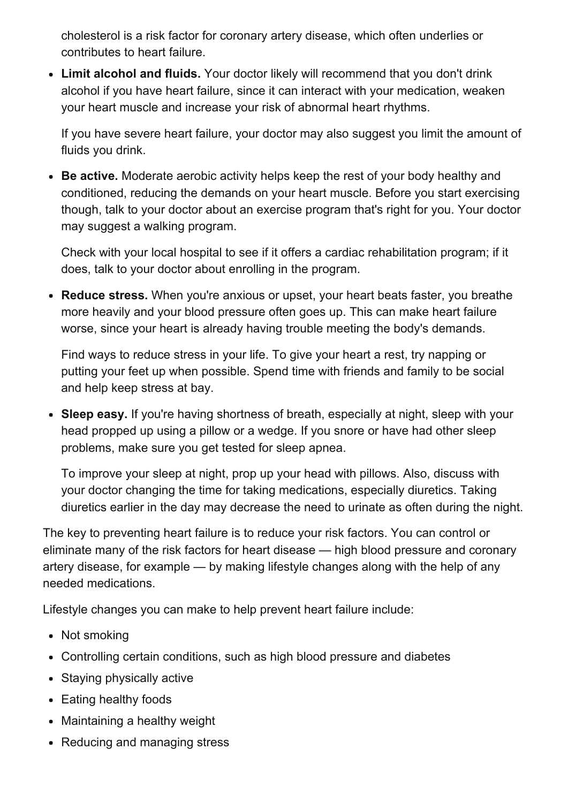cholesterol is a risk factor for coronary artery disease, which often underlies or contributes to heart failure.

Limit alcohol and fluids. Your doctor likely will recommend that you don't drink alcohol if you have heart failure, since it can interact with your medication, weaken your heart muscle and increase your risk of abnormal heart rhythms.

If you have severe heart failure, your doctor may also suggest you limit the amount of fluids you drink.

• Be active. Moderate aerobic activity helps keep the rest of your body healthy and conditioned, reducing the demands on your heart muscle. Before you start exercising though, talk to your doctor about an exercise program that's right for you. Your doctor may suggest a walking program.

Check with your local hospital to see if it offers a cardiac rehabilitation program; if it does, talk to your doctor about enrolling in the program.

• Reduce stress. When you're anxious or upset, your heart beats faster, you breathe more heavily and your blood pressure often goes up. This can make heart failure worse, since your heart is already having trouble meeting the body's demands.

Find ways to reduce stress in your life. To give your heart a rest, try napping or putting your feet up when possible. Spend time with friends and family to be social and help keep stress at bay.

• Sleep easy. If you're having shortness of breath, especially at night, sleep with your head propped up using a pillow or a wedge. If you snore or have had other sleep problems, make sure you get tested for sleep apnea.

To improve your sleep at night, prop up your head with pillows. Also, discuss with your doctor changing the time for taking medications, especially diuretics. Taking diuretics earlier in the day may decrease the need to urinate as often during the night.

The key to preventing heart failure is to reduce your risk factors. You can control or eliminate many of the risk factors for heart disease — high blood pressure and coronary artery disease, for example — by making lifestyle changes along with the help of any needed medications.

Lifestyle changes you can make to help prevent heart failure include:

- Not smoking
- Controlling certain conditions, such as high blood pressure and diabetes
- Staying physically active
- Eating healthy foods
- Maintaining a healthy weight
- Reducing and managing stress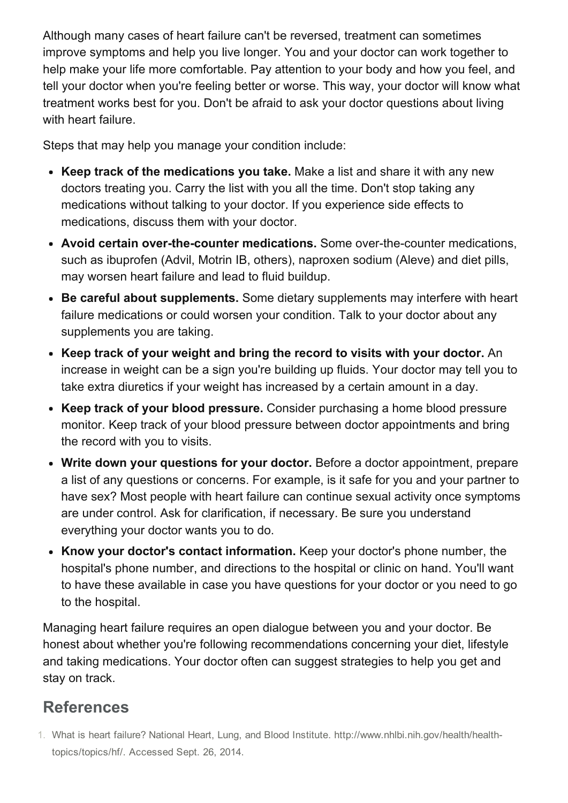Although many cases of heart failure can't be reversed, treatment can sometimes improve symptoms and help you live longer. You and your doctor can work together to help make your life more comfortable. Pay attention to your body and how you feel, and tell your doctor when you're feeling better or worse. This way, your doctor will know what treatment works best for you. Don't be afraid to ask your doctor questions about living with heart failure.

Steps that may help you manage your condition include:

- Keep track of the medications you take. Make a list and share it with any new doctors treating you. Carry the list with you all the time. Don't stop taking any medications without talking to your doctor. If you experience side effects to medications, discuss them with your doctor.
- Avoid certain over-the-counter medications. Some over-the-counter medications, such as ibuprofen (Advil, Motrin IB, others), naproxen sodium (Aleve) and diet pills, may worsen heart failure and lead to fluid buildup.
- Be careful about supplements. Some dietary supplements may interfere with heart failure medications or could worsen your condition. Talk to your doctor about any supplements you are taking.
- Keep track of your weight and bring the record to visits with your doctor. An increase in weight can be a sign you're building up fluids. Your doctor may tell you to take extra diuretics if your weight has increased by a certain amount in a day.
- Keep track of your blood pressure. Consider purchasing a home blood pressure monitor. Keep track of your blood pressure between doctor appointments and bring the record with you to visits.
- Write down your questions for your doctor. Before a doctor appointment, prepare a list of any questions or concerns. For example, is it safe for you and your partner to have sex? Most people with heart failure can continue sexual activity once symptoms are under control. Ask for clarification, if necessary. Be sure you understand everything your doctor wants you to do.
- Know your doctor's contact information. Keep your doctor's phone number, the hospital's phone number, and directions to the hospital or clinic on hand. You'll want to have these available in case you have questions for your doctor or you need to go to the hospital.

Managing heart failure requires an open dialogue between you and your doctor. Be honest about whether you're following recommendations concerning your diet, lifestyle and taking medications. Your doctor often can suggest strategies to help you get and stay on track.

# References

1. What is heart failure? National Heart, Lung, and Blood Institute. http://www.nhlbi.nih.gov/health/healthtopics/topics/hf/. Accessed Sept. 26, 2014.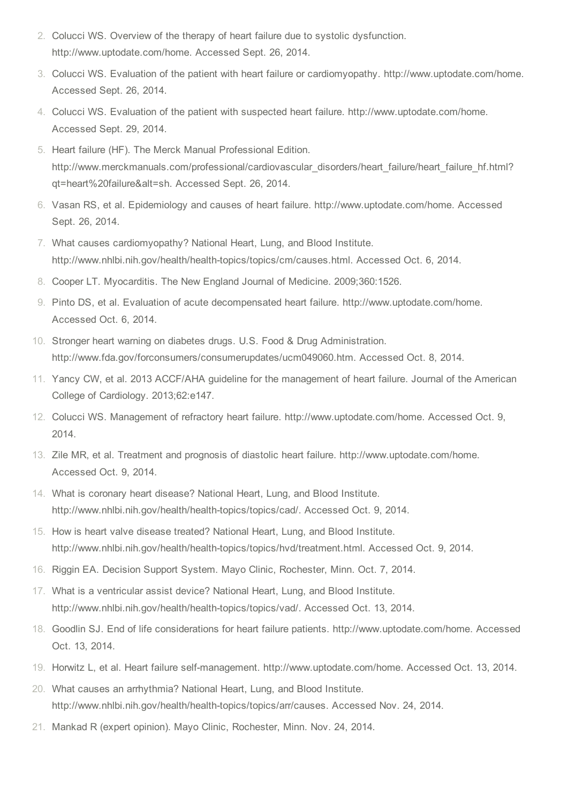- 2. Colucci WS. Overview of the therapy of heart failure due to systolic dysfunction. http://www.uptodate.com/home. Accessed Sept. 26, 2014.
- 3. Colucci WS. Evaluation of the patient with heart failure or cardiomyopathy. http://www.uptodate.com/home. Accessed Sept. 26, 2014.
- 4. Colucci WS. Evaluation of the patient with suspected heart failure. http://www.uptodate.com/home. Accessed Sept. 29, 2014.
- 5. Heart failure (HF). The Merck Manual Professional Edition. http://www.merckmanuals.com/professional/cardiovascular\_disorders/heart\_failure/heart\_failure\_hf.html? qt=heart%20failure&alt=sh. Accessed Sept. 26, 2014.
- 6. Vasan RS, et al. Epidemiology and causes of heart failure. http://www.uptodate.com/home. Accessed Sept. 26, 2014.
- 7. What causes cardiomyopathy? National Heart, Lung, and Blood Institute. http://www.nhlbi.nih.gov/health/health-topics/topics/cm/causes.html. Accessed Oct. 6, 2014.
- 8. Cooper LT. Myocarditis. The New England Journal of Medicine. 2009;360:1526.
- 9. Pinto DS, et al. Evaluation of acute decompensated heart failure. http://www.uptodate.com/home. Accessed Oct. 6, 2014.
- 10. Stronger heart warning on diabetes drugs. U.S. Food & Drug Administration. http://www.fda.gov/forconsumers/consumerupdates/ucm049060.htm. Accessed Oct. 8, 2014.
- 11. Yancy CW, et al. 2013 ACCF/AHA guideline for the management of heart failure. Journal of the American College of Cardiology. 2013;62:e147.
- 12. Colucci WS. Management of refractory heart failure. http://www.uptodate.com/home. Accessed Oct. 9, 2014.
- 13. Zile MR, et al. Treatment and prognosis of diastolic heart failure. http://www.uptodate.com/home. Accessed Oct. 9, 2014.
- 14. What is coronary heart disease? National Heart, Lung, and Blood Institute. http://www.nhlbi.nih.gov/health/health-topics/topics/cad/. Accessed Oct. 9, 2014.
- 15. How is heart valve disease treated? National Heart, Lung, and Blood Institute. http://www.nhlbi.nih.gov/health/health-topics/topics/hvd/treatment.html. Accessed Oct. 9, 2014.
- 16. Riggin EA. Decision Support System. Mayo Clinic, Rochester, Minn. Oct. 7, 2014.
- 17. What is a ventricular assist device? National Heart, Lung, and Blood Institute. http://www.nhlbi.nih.gov/health/health-topics/topics/vad/. Accessed Oct. 13, 2014.
- 18. Goodlin SJ. End of life considerations for heart failure patients. http://www.uptodate.com/home. Accessed Oct. 13, 2014.
- 19. Horwitz L, et al. Heart failure selfmanagement. http://www.uptodate.com/home. Accessed Oct. 13, 2014.
- 20. What causes an arrhythmia? National Heart, Lung, and Blood Institute. http://www.nhlbi.nih.gov/health/health-topics/topics/arr/causes. Accessed Nov. 24, 2014.
- 21. Mankad R (expert opinion). Mayo Clinic, Rochester, Minn. Nov. 24, 2014.